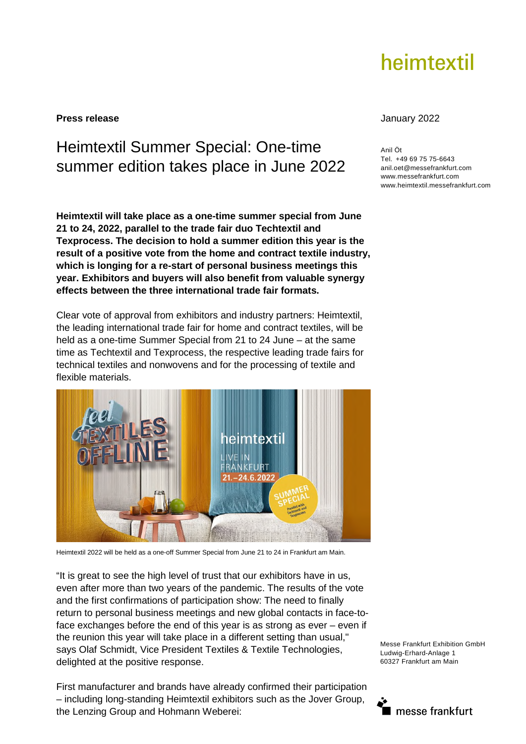# heimtextil

### **Press release** January 2022

## Heimtextil Summer Special: One-time summer edition takes place in June 2022

**Heimtextil will take place as a one-time summer special from June 21 to 24, 2022, parallel to the trade fair duo Techtextil and Texprocess. The decision to hold a summer edition this year is the result of a positive vote from the home and contract textile industry, which is longing for a re-start of personal business meetings this year. Exhibitors and buyers will also benefit from valuable synergy effects between the three international trade fair formats.** 

Clear vote of approval from exhibitors and industry partners: Heimtextil, the leading international trade fair for home and contract textiles, will be held as a one-time Summer Special from 21 to 24 June – at the same time as Techtextil and Texprocess, the respective leading trade fairs for technical textiles and nonwovens and for the processing of textile and flexible materials.



Heimtextil 2022 will be held as a one-off Summer Special from June 21 to 24 in Frankfurt am Main.

"It is great to see the high level of trust that our exhibitors have in us, even after more than two years of the pandemic. The results of the vote and the first confirmations of participation show: The need to finally return to personal business meetings and new global contacts in face-toface exchanges before the end of this year is as strong as ever – even if the reunion this year will take place in a different setting than usual," says Olaf Schmidt, Vice President Textiles & Textile Technologies, delighted at the positive response.

First manufacturer and brands have already confirmed their participation – including long-standing Heimtextil exhibitors such as the Jover Group, the Lenzing Group and Hohmann Weberei:

Anil Öt Tel. +49 69 75 75-6643 anil.oet@messefrankfurt.com www.messefrankfurt.com www.heimtextil.messefrankfurt.com

Messe Frankfurt Exhibition GmbH Ludwig-Erhard-Anlage 1 60327 Frankfurt am Main

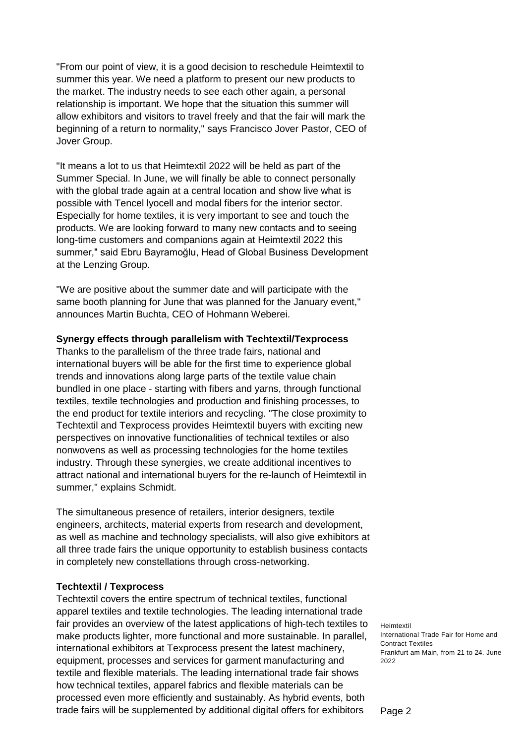"From our point of view, it is a good decision to reschedule Heimtextil to summer this year. We need a platform to present our new products to the market. The industry needs to see each other again, a personal relationship is important. We hope that the situation this summer will allow exhibitors and visitors to travel freely and that the fair will mark the beginning of a return to normality," says Francisco Jover Pastor, CEO of Jover Group.

"It means a lot to us that Heimtextil 2022 will be held as part of the Summer Special. In June, we will finally be able to connect personally with the global trade again at a central location and show live what is possible with Tencel lyocell and modal fibers for the interior sector. Especially for home textiles, it is very important to see and touch the products. We are looking forward to many new contacts and to seeing long-time customers and companions again at Heimtextil 2022 this summer," said Ebru Bayramoğlu, Head of Global Business Development at the Lenzing Group.

"We are positive about the summer date and will participate with the same booth planning for June that was planned for the January event," announces Martin Buchta, CEO of Hohmann Weberei.

#### **Synergy effects through parallelism with Techtextil/Texprocess**

Thanks to the parallelism of the three trade fairs, national and international buyers will be able for the first time to experience global trends and innovations along large parts of the textile value chain bundled in one place - starting with fibers and yarns, through functional textiles, textile technologies and production and finishing processes, to the end product for textile interiors and recycling. "The close proximity to Techtextil and Texprocess provides Heimtextil buyers with exciting new perspectives on innovative functionalities of technical textiles or also nonwovens as well as processing technologies for the home textiles industry. Through these synergies, we create additional incentives to attract national and international buyers for the re-launch of Heimtextil in summer," explains Schmidt.

The simultaneous presence of retailers, interior designers, textile engineers, architects, material experts from research and development, as well as machine and technology specialists, will also give exhibitors at all three trade fairs the unique opportunity to establish business contacts in completely new constellations through cross-networking.

#### **Techtextil / Texprocess**

Techtextil covers the entire spectrum of technical textiles, functional apparel textiles and textile technologies. The leading international trade fair provides an overview of the latest applications of high-tech textiles to make products lighter, more functional and more sustainable. In parallel, international exhibitors at Texprocess present the latest machinery, equipment, processes and services for garment manufacturing and textile and flexible materials. The leading international trade fair shows how technical textiles, apparel fabrics and flexible materials can be processed even more efficiently and sustainably. As hybrid events, both trade fairs will be supplemented by additional digital offers for exhibitors

Heimtextil International Trade Fair for Home and Contract Textiles Frankfurt am Main, from 21 to 24. June 2022